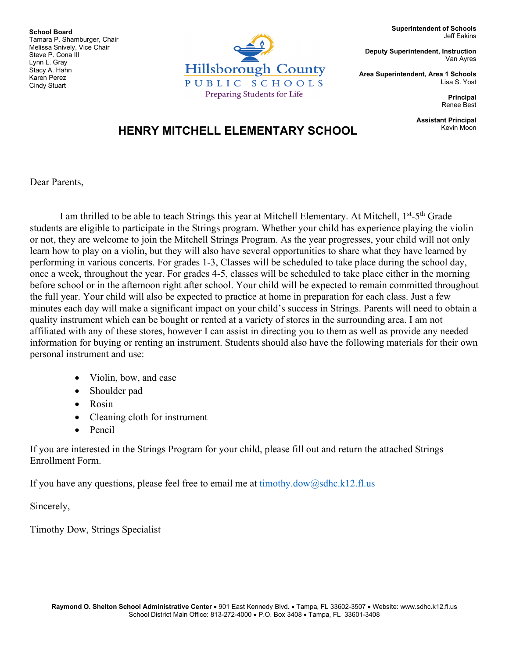zung die die mit<br>Karen Perez **School Board** Tamara P. Shamburger, Chair Melissa Snively, Vice Chair Steve P. Cona III Lynn L. Gray Stacy A. Hahn Cindy Stuart



**Superintendent of Schools** Jeff Eakins

**Deputy Superintendent, Instruction** Van Ayres

**Area Superintendent, Area 1 Schools** Lisa S. Yost

> **Principal** Renee Best

**Assistant Principal**

## **HENRY MITCHELL ELEMENTARY SCHOOL**

Dear Parents,

I am thrilled to be able to teach Strings this year at Mitchell Elementary. At Mitchell, 1st-5th Grade students are eligible to participate in the Strings program. Whether your child has experience playing the violin or not, they are welcome to join the Mitchell Strings Program. As the year progresses, your child will not only learn how to play on a violin, but they will also have several opportunities to share what they have learned by performing in various concerts. For grades 1-3, Classes will be scheduled to take place during the school day, once a week, throughout the year. For grades 4-5, classes will be scheduled to take place either in the morning before school or in the afternoon right after school. Your child will be expected to remain committed throughout the full year. Your child will also be expected to practice at home in preparation for each class. Just a few minutes each day will make a significant impact on your child's success in Strings. Parents will need to obtain a quality instrument which can be bought or rented at a variety of stores in the surrounding area. I am not affiliated with any of these stores, however I can assist in directing you to them as well as provide any needed information for buying or renting an instrument. Students should also have the following materials for their own personal instrument and use:

- Violin, bow, and case
- Shoulder pad
- Rosin
- Cleaning cloth for instrument
- Pencil

If you are interested in the Strings Program for your child, please fill out and return the attached Strings Enrollment Form.

If you have any questions, please feel free to email me at  $timothy.dow@sdhc.k12.fl.us$ 

Sincerely,

Timothy Dow, Strings Specialist